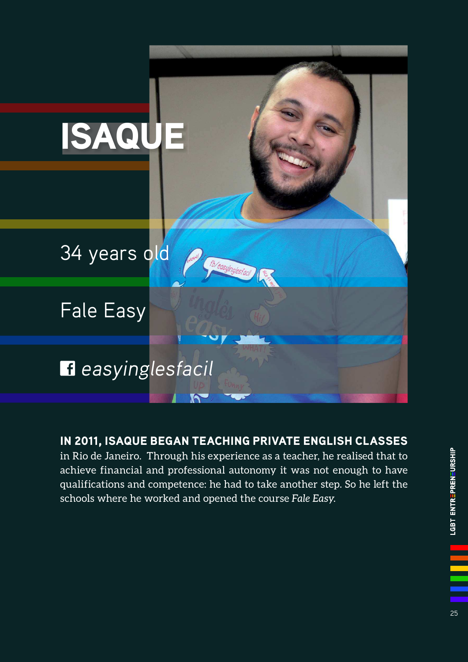

IN 2011, ISAQUE BEGAN TEACHING PRIVATE ENGLISH CLASSES in Rio de Janeiro. Through his experience as a teacher, he realised that to achieve financial and professional autonomy it was not enough to have qualifications and competence: he had to take another step. So he left the schools where he worked and opened the course *Fale Easy*.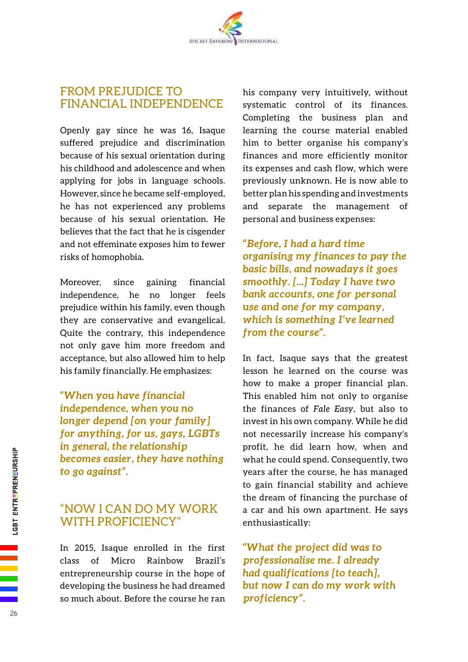## FROM PREJUDICE TO FINANCIAL INDEPENDENCE

Openly gay since he was 16, Isaque suffered prejudice and discrimination because of his sexual orientation during his childhood and adolescence and when applying for jobs in language schools. However, since he became self-employed, he has not experienced any problems because of his sexual orientation. He believes that the fact that he is cisgender and not effeminate exposes him to fewer risks of homophobia.

Moreover, since gaining financial independence, he no longer feels prejudice within his family, even though they are conservative and evangelical. Quite the contrary, this independence not only gave him more freedom and acceptance, but also allowed him to help his family financially. He emphasizes:

*"When you have financial independence, when you no longer depend [on your family] for anything, for us, gays, LGBTs in general, the relationship becomes easier, they have nothing to go against".* 

## "NOW I CAN DO MY WORK WITH PROFICIENCY"

In 2015, Isaque enrolled in the first class of Micro Rainbow Brazil's entrepreneurship course in the hope of developing the business he had dreamed so much about. Before the course he ran his company very intuitively, without systematic control of its finances. Completing the business plan and learning the course material enabled him to better organise his company's finances and more efficiently monitor its expenses and cash flow, which were previously unknown. He is now able to better plan his spending and investments and separate the management of personal and business expenses:

*"Before, I had a hard time organising my finances to pay the basic bills, and nowadays it goes smoothly. [...] Today I have two bank accounts, one for personal use and one for my company, which is something I've learned from the course".*

In fact, Isaque says that the greatest lesson he learned on the course was how to make a proper financial plan. This enabled him not only to organise the finances of *Fale Easy*, but also to invest in his own company. While he did not necessarily increase his company's profit, he did learn how, when and what he could spend. Consequently, two years after the course, he has managed to gain financial stability and achieve the dream of financing the purchase of a car and his own apartment. He says enthusiastically:

*"What the project did was to professionalise me. I already had qualifications [to teach], but now I can do my work with proficiency".*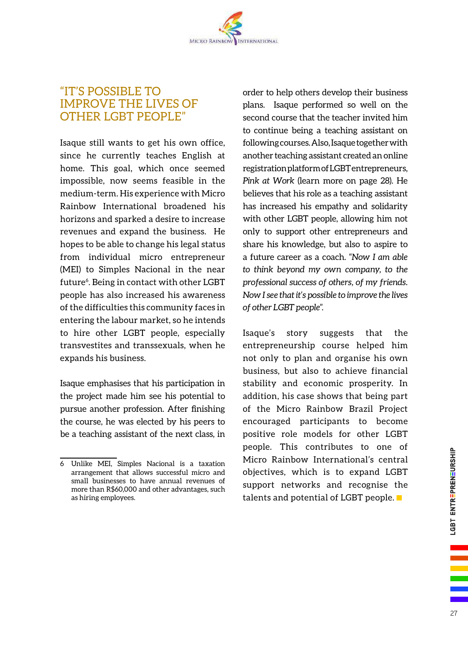## "IT'S POSSIBLE TO IMPROVE THE LIVES OF OTHER LGBT PEOPLE"

Isaque still wants to get his own office, since he currently teaches English at home. This goal, which once seemed impossible, now seems feasible in the medium-term. His experience with Micro Rainbow International broadened his horizons and sparked a desire to increase revenues and expand the business. He hopes to be able to change his legal status from individual micro entrepreneur (MEI) to Simples Nacional in the near future<sup>6</sup>. Being in contact with other LGBT people has also increased his awareness of the difficulties this community faces in entering the labour market, so he intends to hire other LGBT people, especially transvestites and transsexuals, when he expands his business.

Isaque emphasises that his participation in the project made him see his potential to pursue another profession. After finishing the course, he was elected by his peers to be a teaching assistant of the next class, in

order to help others develop their business plans. Isaque performed so well on the second course that the teacher invited him to continue being a teaching assistant on following courses. Also, Isaque together with another teaching assistant created an online registration platform of LGBT entrepreneurs, *Pink at Work* (learn more on page 28). He believes that his role as a teaching assistant has increased his empathy and solidarity with other LGBT people, allowing him not only to support other entrepreneurs and share his knowledge, but also to aspire to a future career as a coach. "*Now I am able to think beyond my own company, to the professional success of others, of my friends. Now I see that it's possible to improve the lives of other LGBT people*".

Isaque's story suggests that the entrepreneurship course helped him not only to plan and organise his own business, but also to achieve financial stability and economic prosperity. In addition, his case shows that being part of the Micro Rainbow Brazil Project encouraged participants to become positive role models for other LGBT people. This contributes to one of Micro Rainbow International's central objectives, which is to expand LGBT support networks and recognise the talents and potential of LGBT people.

<sup>6</sup> Unlike MEI, Simples Nacional is a taxation arrangement that allows successful micro and small businesses to have annual revenues of more than R\$60,000 and other advantages, such as hiring employees.